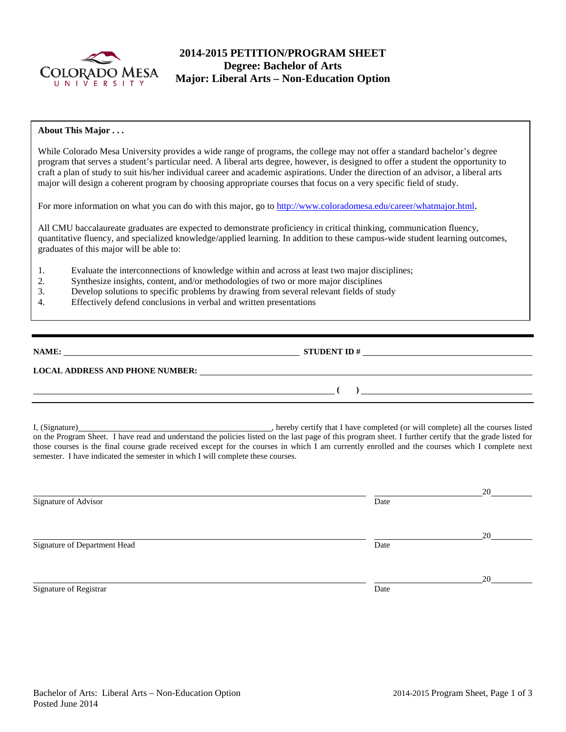

## **2014-2015 PETITION/PROGRAM SHEET Degree: Bachelor of Arts Major: Liberal Arts – Non-Education Option**

### **About This Major . . .**

While Colorado Mesa University provides a wide range of programs, the college may not offer a standard bachelor's degree program that serves a student's particular need. A liberal arts degree, however, is designed to offer a student the opportunity to craft a plan of study to suit his/her individual career and academic aspirations. Under the direction of an advisor, a liberal arts major will design a coherent program by choosing appropriate courses that focus on a very specific field of study.

For more information on what you can do with this major, go to [http://www.coloradomesa.edu/career/whatmajor.html.](http://www.coloradomesa.edu/career/whatmajor.html)

All CMU baccalaureate graduates are expected to demonstrate proficiency in critical thinking, communication fluency, quantitative fluency, and specialized knowledge/applied learning. In addition to these campus-wide student learning outcomes, graduates of this major will be able to:

- 1. Evaluate the interconnections of knowledge within and across at least two major disciplines;
- 2. Synthesize insights, content, and/or methodologies of two or more major disciplines
- 3. Develop solutions to specific problems by drawing from several relevant fields of study
- 4. Effectively defend conclusions in verbal and written presentations

**NAMES IN STUDENT ID #** 

**( )** 

### **LOCAL ADDRESS AND PHONE NUMBER:**

I, (Signature) **Source 2008** (Signature) **, hereby certify that I have completed** (or will complete) all the courses listed on the Program Sheet. I have read and understand the policies listed on the last page of this program sheet. I further certify that the grade listed for those courses is the final course grade received except for the courses in which I am currently enrolled and the courses which I complete next semester. I have indicated the semester in which I will complete these courses.

|                              |      | 20 |
|------------------------------|------|----|
| Signature of Advisor         | Date |    |
|                              |      |    |
|                              |      | 20 |
| Signature of Department Head | Date |    |
|                              |      |    |
|                              |      | 20 |
| Signature of Registrar       | Date |    |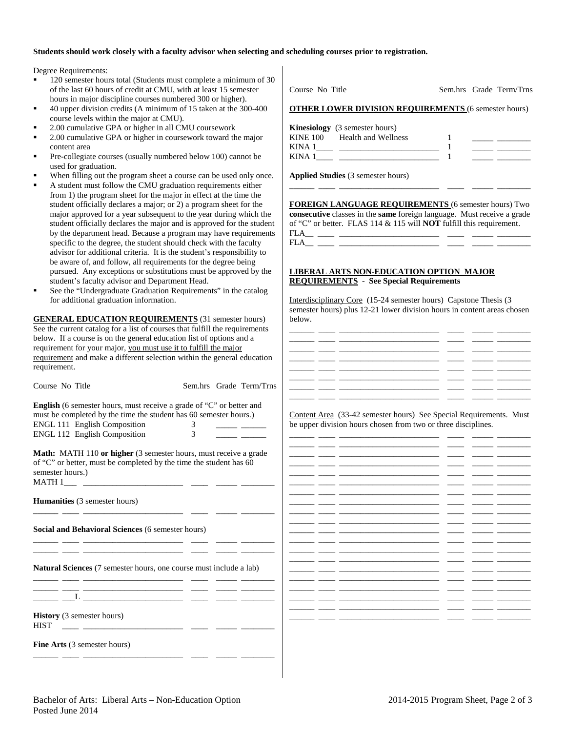#### **Students should work closely with a faculty advisor when selecting and scheduling courses prior to registration.**

Degree Requirements:

- 120 semester hours total (Students must complete a minimum of 30 of the last 60 hours of credit at CMU, with at least 15 semester hours in major discipline courses numbered 300 or higher).
- 40 upper division credits (A minimum of 15 taken at the 300-400 course levels within the major at CMU).
- 2.00 cumulative GPA or higher in all CMU coursework
- 2.00 cumulative GPA or higher in coursework toward the major content area
- Pre-collegiate courses (usually numbered below 100) cannot be used for graduation.
- When filling out the program sheet a course can be used only once.
- A student must follow the CMU graduation requirements either from 1) the program sheet for the major in effect at the time the student officially declares a major; or 2) a program sheet for the major approved for a year subsequent to the year during which the student officially declares the major and is approved for the student by the department head. Because a program may have requirements specific to the degree, the student should check with the faculty advisor for additional criteria. It is the student's responsibility to be aware of, and follow, all requirements for the degree being pursued. Any exceptions or substitutions must be approved by the student's faculty advisor and Department Head.
- See the "Undergraduate Graduation Requirements" in the catalog for additional graduation information.

**GENERAL EDUCATION REQUIREMENTS** (31 semester hours) See the current catalog for a list of courses that fulfill the requirements below. If a course is on the general education list of options and a requirement for your major, you must use it to fulfill the major requirement and make a different selection within the general education requirement.

| Course No Title                                                                                                                                                                                                                                                                                                             |                     |  | Sem.hrs Grade Term/Trns                                                                                                   |  |  |
|-----------------------------------------------------------------------------------------------------------------------------------------------------------------------------------------------------------------------------------------------------------------------------------------------------------------------------|---------------------|--|---------------------------------------------------------------------------------------------------------------------------|--|--|
| English (6 semester hours, must receive a grade of "C" or better and<br>must be completed by the time the student has 60 semester hours.)<br>ENGL 111 English Composition<br>ENGL 112 English Composition                                                                                                                   | 3<br>$\mathfrak{Z}$ |  | <u> 1990 - Jan Barnett, politik eta politik eta politik eta politik eta politik eta politik eta politik eta politik e</u> |  |  |
| <b>Math:</b> MATH 110 or higher (3 semester hours, must receive a grade<br>of "C" or better, must be completed by the time the student has 60<br>semester hours.)                                                                                                                                                           |                     |  |                                                                                                                           |  |  |
| Humanities (3 semester hours)                                                                                                                                                                                                                                                                                               |                     |  |                                                                                                                           |  |  |
| Social and Behavioral Sciences (6 semester hours)                                                                                                                                                                                                                                                                           |                     |  |                                                                                                                           |  |  |
| <u> 1988 - Johann Barbara, mars ann an t-Iomraid ann an 1960.  Iomraid ann an 1960 ann an 1970 ann an 1971.  Iomra</u><br><b>Natural Sciences</b> (7 semester hours, one course must include a lab)<br><u> 1999 - Jan James James, martin amerikan basar dan berasal dalam pengaran basar dalam pengaran basar dalam pe</u> |                     |  |                                                                                                                           |  |  |
| ____ __L ___________________ _____ _____ _____                                                                                                                                                                                                                                                                              |                     |  |                                                                                                                           |  |  |
| History (3 semester hours)<br><b>HIST</b><br><u> 1999 - John Stein, september 1999 - John Stein, september 1999 - John Stein, september 1999 - John Stein, sep</u> temb                                                                                                                                                     |                     |  |                                                                                                                           |  |  |
| <b>Fine Arts</b> (3 semester hours)                                                                                                                                                                                                                                                                                         |                     |  |                                                                                                                           |  |  |

|                                       | <b>OTHER LOWER DIVISION REQUIREMENTS (6 semester hours)</b> |  |
|---------------------------------------|-------------------------------------------------------------|--|
| <b>Kinesiology</b> (3 semester hours) | KINE 100 Health and Wellness                                |  |
|                                       | <b>Applied Studies</b> (3 semester hours)                   |  |

Course No Title Sem.hrs Grade Term/Trns

**FOREIGN LANGUAGE REQUIREMENTS** (6 semester hours) Two **consecutive** classes in the **same** foreign language. Must receive a grade of "C" or better. FLAS 114 & 115 will **NOT** fulfill this requirement. FLA\_\_ \_\_\_\_ \_\_\_\_\_\_\_\_\_\_\_\_\_\_\_\_\_\_\_\_\_\_\_\_ \_\_\_\_ \_\_\_\_\_ \_\_\_\_\_\_\_\_

#### **LIBERAL ARTS NON-EDUCATION OPTION MAJOR REQUIREMENTS** - **See Special Requirements**

Interdisciplinary Core (15-24 semester hours) Capstone Thesis (3 semester hours) plus 12-21 lower division hours in content areas chosen below.

Content Area (33-42 semester hours) See Special Requirements. Must be upper division hours chosen from two or three disciplines.

|     | -                        |  |  |
|-----|--------------------------|--|--|
|     | -                        |  |  |
|     | -                        |  |  |
|     |                          |  |  |
|     | -                        |  |  |
|     |                          |  |  |
| - 1 |                          |  |  |
|     |                          |  |  |
|     |                          |  |  |
|     |                          |  |  |
|     |                          |  |  |
|     |                          |  |  |
|     |                          |  |  |
|     | $\overline{\phantom{0}}$ |  |  |
|     | -                        |  |  |
|     |                          |  |  |
|     |                          |  |  |
|     |                          |  |  |
|     |                          |  |  |
|     |                          |  |  |